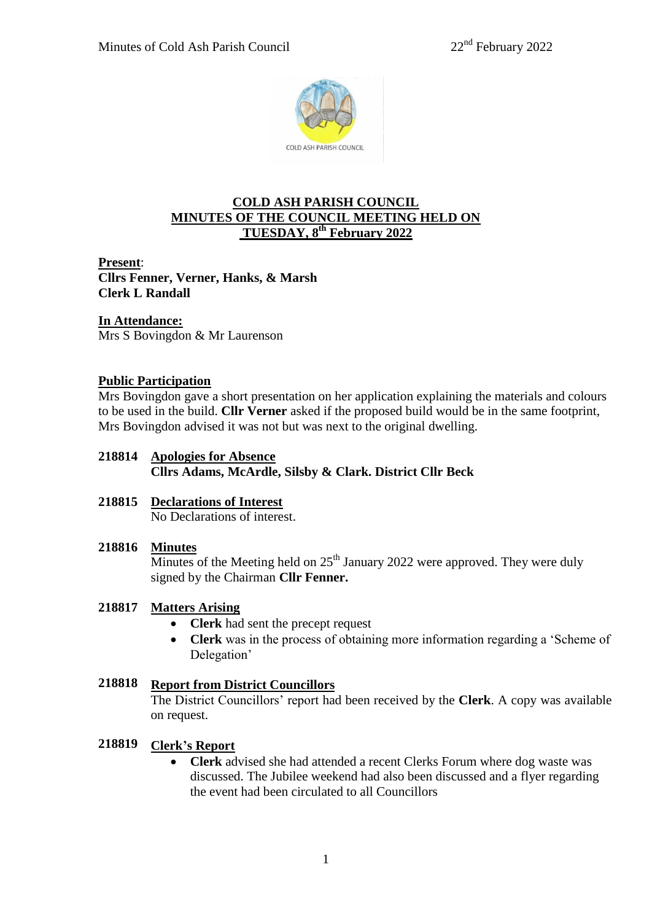

# **COLD ASH PARISH COUNCIL MINUTES OF THE COUNCIL MEETING HELD ON TUESDAY, 8 th February 2022**

**Present**: **Cllrs Fenner, Verner, Hanks, & Marsh Clerk L Randall**

# **In Attendance:**

Mrs S Bovingdon & Mr Laurenson

## **Public Participation**

Mrs Bovingdon gave a short presentation on her application explaining the materials and colours to be used in the build. **Cllr Verner** asked if the proposed build would be in the same footprint, Mrs Bovingdon advised it was not but was next to the original dwelling.

### **218814 Apologies for Absence**

**Cllrs Adams, McArdle, Silsby & Clark. District Cllr Beck**

# **218815 Declarations of Interest**

No Declarations of interest.

### **218816 Minutes**

Minutes of the Meeting held on  $25<sup>th</sup>$  January 2022 were approved. They were duly signed by the Chairman **Cllr Fenner.**

# **218817 Matters Arising**

- **Clerk** had sent the precept request
- **Clerk** was in the process of obtaining more information regarding a 'Scheme of Delegation'

#### **218818 Report from District Councillors**

The District Councillors' report had been received by the **Clerk**. A copy was available on request.

#### **218819 Clerk's Report**

 **Clerk** advised she had attended a recent Clerks Forum where dog waste was discussed. The Jubilee weekend had also been discussed and a flyer regarding the event had been circulated to all Councillors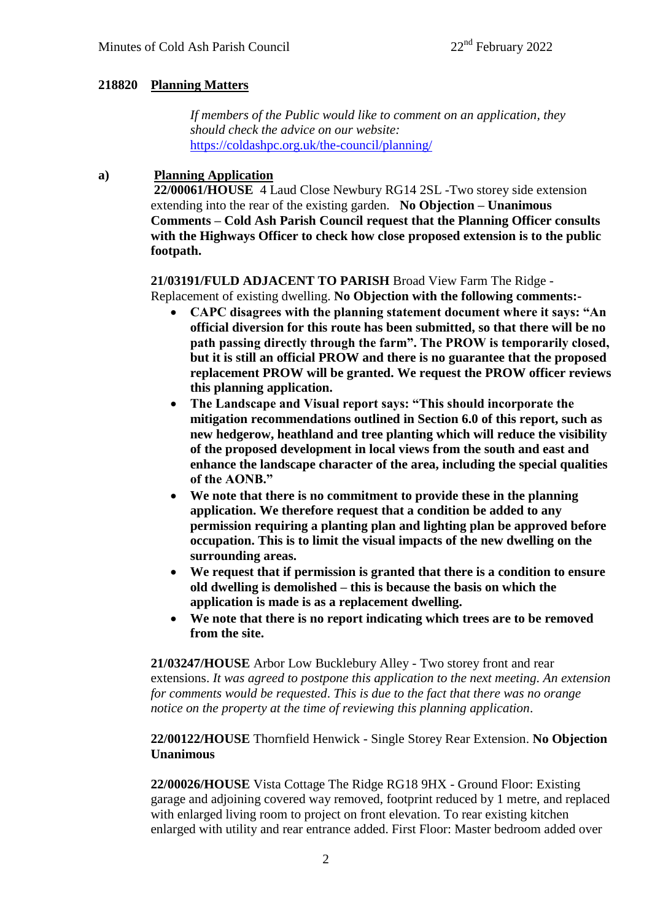### **218820 Planning Matters**

 *If members of the Public would like to comment on an application, they should check the advice on our website:* <https://coldashpc.org.uk/the-council/planning/>

#### **a) Planning Application**

**22/00061/HOUSE** 4 Laud Close Newbury RG14 2SL -Two storey side extension extending into the rear of the existing garden. **No Objection – Unanimous Comments – Cold Ash Parish Council request that the Planning Officer consults with the Highways Officer to check how close proposed extension is to the public footpath.**

# **21/03191/FULD ADJACENT TO PARISH** Broad View Farm The Ridge -

Replacement of existing dwelling. **No Objection with the following comments:-**

- **CAPC disagrees with the planning statement document where it says: "An official diversion for this route has been submitted, so that there will be no path passing directly through the farm". The PROW is temporarily closed, but it is still an official PROW and there is no guarantee that the proposed replacement PROW will be granted. We request the PROW officer reviews this planning application.**
- **The Landscape and Visual report says: "This should incorporate the mitigation recommendations outlined in Section 6.0 of this report, such as new hedgerow, heathland and tree planting which will reduce the visibility of the proposed development in local views from the south and east and enhance the landscape character of the area, including the special qualities of the AONB."**
- **We note that there is no commitment to provide these in the planning application. We therefore request that a condition be added to any permission requiring a planting plan and lighting plan be approved before occupation. This is to limit the visual impacts of the new dwelling on the surrounding areas.**
- **We request that if permission is granted that there is a condition to ensure old dwelling is demolished – this is because the basis on which the application is made is as a replacement dwelling.**
- **We note that there is no report indicating which trees are to be removed from the site.**

**21/03247/HOUSE** Arbor Low Bucklebury Alley - Two storey front and rear extensions. *It was agreed to postpone this application to the next meeting. An extension for comments would be requested*. *This is due to the fact that there was no orange notice on the property at the time of reviewing this planning application*.

# **22/00122/HOUSE** Thornfield Henwick - Single Storey Rear Extension. **No Objection Unanimous**

**22/00026/HOUSE** Vista Cottage The Ridge RG18 9HX - Ground Floor: Existing garage and adjoining covered way removed, footprint reduced by 1 metre, and replaced with enlarged living room to project on front elevation. To rear existing kitchen enlarged with utility and rear entrance added. First Floor: Master bedroom added over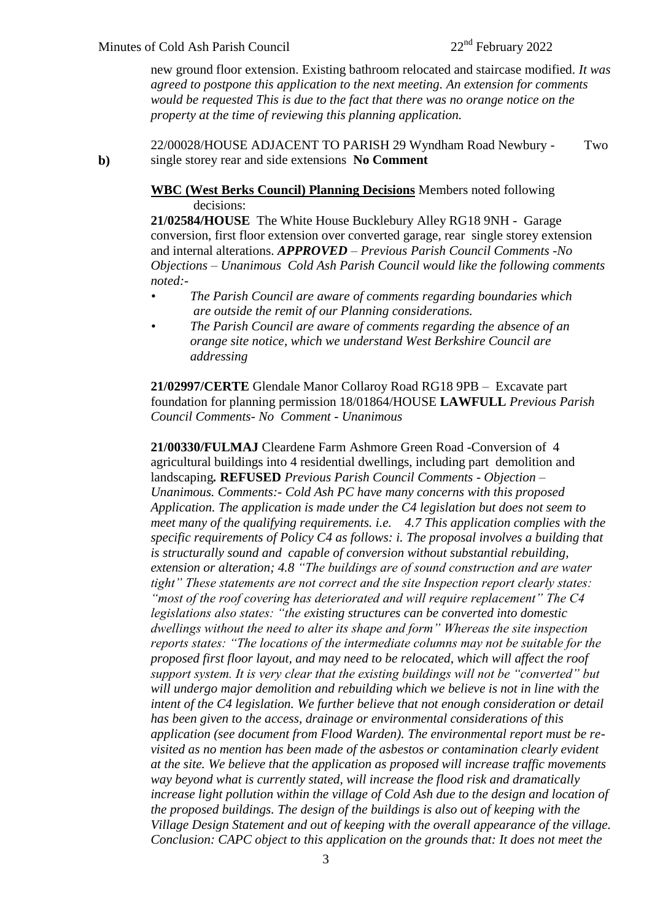**b)**

new ground floor extension. Existing bathroom relocated and staircase modified. *It was agreed to postpone this application to the next meeting. An extension for comments would be requested This is due to the fact that there was no orange notice on the property at the time of reviewing this planning application.*

22/00028/HOUSE ADJACENT TO PARISH 29 Wyndham Road Newbury - Two single storey rear and side extensions **No Comment**

### **WBC (West Berks Council) Planning Decisions** Members noted following decisions:

**21/02584/HOUSE** The White House Bucklebury Alley RG18 9NH - Garage conversion, first floor extension over converted garage, rear single storey extension and internal alterations. *APPROVED – Previous Parish Council Comments -No Objections – Unanimous Cold Ash Parish Council would like the following comments noted:-*

- *• The Parish Council are aware of comments regarding boundaries which are outside the remit of our Planning considerations.*
- *• The Parish Council are aware of comments regarding the absence of an orange site notice, which we understand West Berkshire Council are addressing*

**21/02997/CERTE** Glendale Manor Collaroy Road RG18 9PB – Excavate part foundation for planning permission 18/01864/HOUSE **LAWFULL** *Previous Parish Council Comments- No Comment - Unanimous* 

**21/00330/FULMAJ** Cleardene Farm Ashmore Green Road -Conversion of 4 agricultural buildings into 4 residential dwellings, including part demolition and landscaping*.* **REFUSED** *Previous Parish Council Comments - Objection – Unanimous. Comments:- Cold Ash PC have many concerns with this proposed Application. The application is made under the C4 legislation but does not seem to meet many of the qualifying requirements. i.e. 4.7 This application complies with the specific requirements of Policy C4 as follows: i. The proposal involves a building that is structurally sound and capable of conversion without substantial rebuilding, extension or alteration; 4.8 "The buildings are of sound construction and are water tight" These statements are not correct and the site Inspection report clearly states: "most of the roof covering has deteriorated and will require replacement" The C4 legislations also states: "the existing structures can be converted into domestic dwellings without the need to alter its shape and form" Whereas the site inspection reports states: "The locations of the intermediate columns may not be suitable for the proposed first floor layout, and may need to be relocated, which will affect the roof support system. It is very clear that the existing buildings will not be "converted" but will undergo major demolition and rebuilding which we believe is not in line with the intent of the C4 legislation. We further believe that not enough consideration or detail has been given to the access, drainage or environmental considerations of this application (see document from Flood Warden). The environmental report must be revisited as no mention has been made of the asbestos or contamination clearly evident at the site. We believe that the application as proposed will increase traffic movements way beyond what is currently stated, will increase the flood risk and dramatically increase light pollution within the village of Cold Ash due to the design and location of the proposed buildings. The design of the buildings is also out of keeping with the Village Design Statement and out of keeping with the overall appearance of the village. Conclusion: CAPC object to this application on the grounds that: It does not meet the*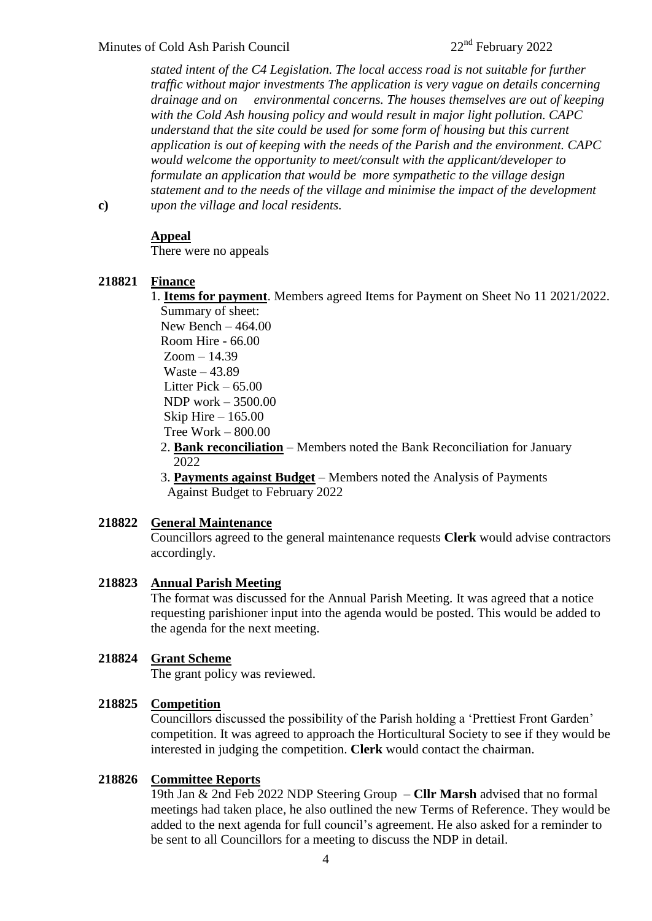*stated intent of the C4 Legislation. The local access road is not suitable for further traffic without major investments The application is very vague on details concerning drainage and on environmental concerns. The houses themselves are out of keeping with the Cold Ash housing policy and would result in major light pollution. CAPC understand that the site could be used for some form of housing but this current application is out of keeping with the needs of the Parish and the environment. CAPC would welcome the opportunity to meet/consult with the applicant/developer to formulate an application that would be more sympathetic to the village design statement and to the needs of the village and minimise the impact of the development upon the village and local residents.* 

**c)**

### **Appeal**

There were no appeals

### **218821 Finance**

1. **Items for payment**. Members agreed Items for Payment on Sheet No 11 2021/2022. Summary of sheet:

New Bench  $-464.00$  Room Hire - 66.00 Zoom – 14.39 Waste – 43.89 Litter Pick – 65.00 NDP work – 3500.00 Skip Hire – 165.00 Tree Work – 800.00

- 2. **Bank reconciliation** Members noted the Bank Reconciliation for January 2022
- 3. **Payments against Budget** Members noted the Analysis of Payments Against Budget to February 2022

### **218822 General Maintenance**

Councillors agreed to the general maintenance requests **Clerk** would advise contractors accordingly.

#### **218823 Annual Parish Meeting**

The format was discussed for the Annual Parish Meeting. It was agreed that a notice requesting parishioner input into the agenda would be posted. This would be added to the agenda for the next meeting.

#### **218824 Grant Scheme**

The grant policy was reviewed.

#### **218825 Competition**

Councillors discussed the possibility of the Parish holding a 'Prettiest Front Garden' competition. It was agreed to approach the Horticultural Society to see if they would be interested in judging the competition. **Clerk** would contact the chairman.

#### **218826 Committee Reports**

19th Jan & 2nd Feb 2022 NDP Steering Group – **Cllr Marsh** advised that no formal meetings had taken place, he also outlined the new Terms of Reference. They would be added to the next agenda for full council's agreement. He also asked for a reminder to be sent to all Councillors for a meeting to discuss the NDP in detail.